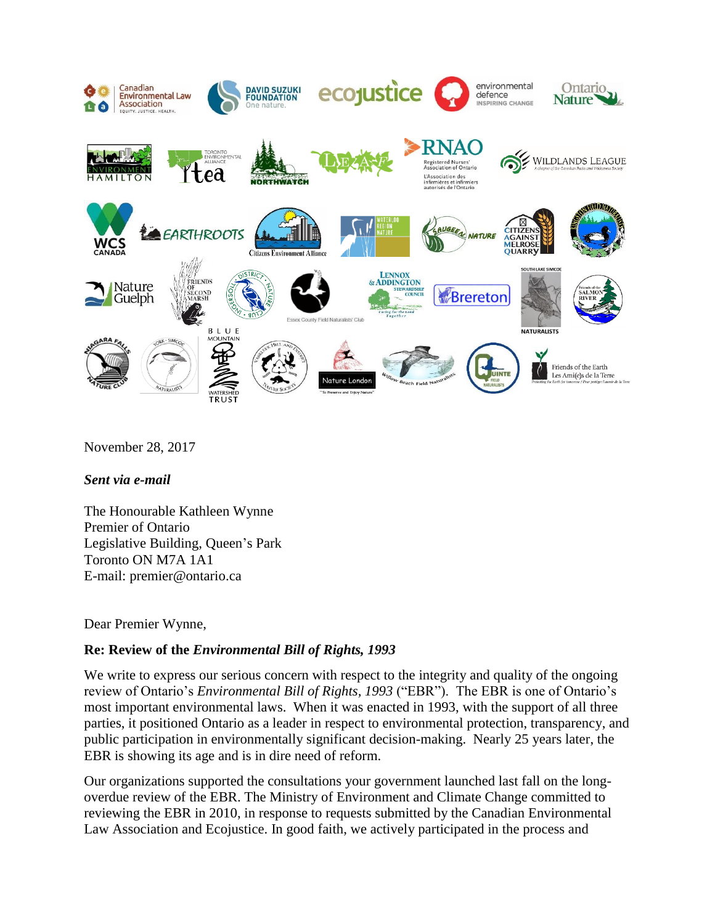

November 28, 2017

## *Sent via e-mail*

The Honourable Kathleen Wynne Premier of Ontario Legislative Building, Queen's Park Toronto ON M7A 1A1 E-mail: premier@ontario.ca

Dear Premier Wynne,

## **Re: Review of the** *Environmental Bill of Rights, 1993*

We write to express our serious concern with respect to the integrity and quality of the ongoing review of Ontario's *Environmental Bill of Rights, 1993* ("EBR"). The EBR is one of Ontario's most important environmental laws. When it was enacted in 1993, with the support of all three parties, it positioned Ontario as a leader in respect to environmental protection, transparency, and public participation in environmentally significant decision-making. Nearly 25 years later, the EBR is showing its age and is in dire need of reform.

Our organizations supported the consultations your government launched last fall on the longoverdue review of the EBR. The Ministry of Environment and Climate Change committed to reviewing the EBR in 2010, in response to requests submitted by the Canadian Environmental Law Association and Ecojustice. In good faith, we actively participated in the process and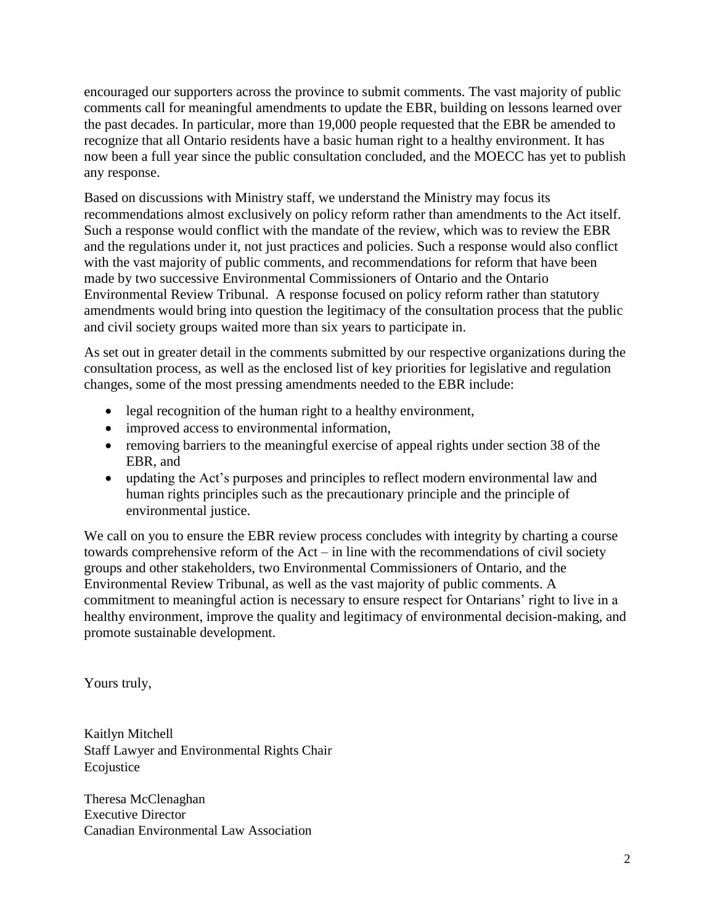encouraged our supporters across the province to submit comments. The vast majority of public comments call for meaningful amendments to update the EBR, building on lessons learned over the past decades. In particular, more than 19,000 people requested that the EBR be amended to recognize that all Ontario residents have a basic human right to a healthy environment. It has now been a full year since the public consultation concluded, and the MOECC has yet to publish any response.

Based on discussions with Ministry staff, we understand the Ministry may focus its recommendations almost exclusively on policy reform rather than amendments to the Act itself. Such a response would conflict with the mandate of the review, which was to review the EBR and the regulations under it, not just practices and policies. Such a response would also conflict with the vast majority of public comments, and recommendations for reform that have been made by two successive Environmental Commissioners of Ontario and the Ontario Environmental Review Tribunal. A response focused on policy reform rather than statutory amendments would bring into question the legitimacy of the consultation process that the public and civil society groups waited more than six years to participate in.

As set out in greater detail in the comments submitted by our respective organizations during the consultation process, as well as the enclosed list of key priorities for legislative and regulation changes, some of the most pressing amendments needed to the EBR include:

- legal recognition of the human right to a healthy environment,
- improved access to environmental information,
- removing barriers to the meaningful exercise of appeal rights under section 38 of the EBR, and
- updating the Act's purposes and principles to reflect modern environmental law and human rights principles such as the precautionary principle and the principle of environmental justice.

We call on you to ensure the EBR review process concludes with integrity by charting a course towards comprehensive reform of the Act – in line with the recommendations of civil society groups and other stakeholders, two Environmental Commissioners of Ontario, and the Environmental Review Tribunal, as well as the vast majority of public comments. A commitment to meaningful action is necessary to ensure respect for Ontarians' right to live in a healthy environment, improve the quality and legitimacy of environmental decision-making, and promote sustainable development.

Yours truly,

Kaitlyn Mitchell Staff Lawyer and Environmental Rights Chair Ecojustice

Theresa McClenaghan Executive Director Canadian Environmental Law Association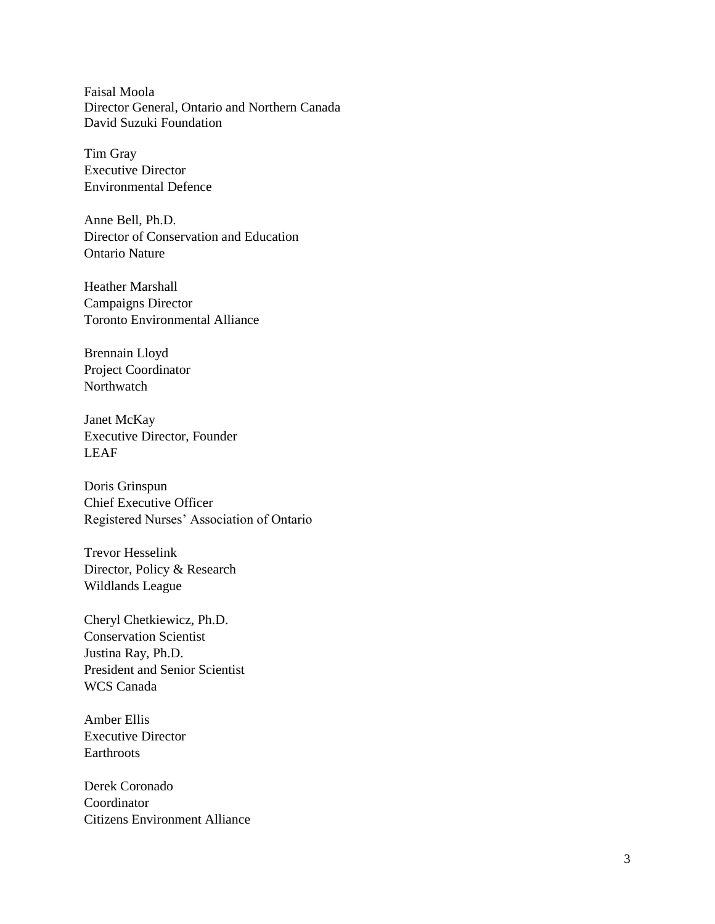Faisal Moola Director General, Ontario and Northern Canada David Suzuki Foundation

Tim Gray Executive Director Environmental Defence

Anne Bell, Ph.D. Director of Conservation and Education Ontario Nature

Heather Marshall Campaigns Director Toronto Environmental Alliance

Brennain Lloyd Project Coordinator Northwatch

Janet McKay Executive Director, Founder LEAF

Doris Grinspun Chief Executive Officer Registered Nurses' Association of Ontario

Trevor Hesselink Director, Policy & Research Wildlands League

Cheryl Chetkiewicz, Ph . D . Conservation Scientist Justina Ray, Ph . D . President and Senior Scientist WCS Canada

Amber Ellis Executive Director **Earthroots** 

Derek Coronado Coordinator Citizens Environment Alliance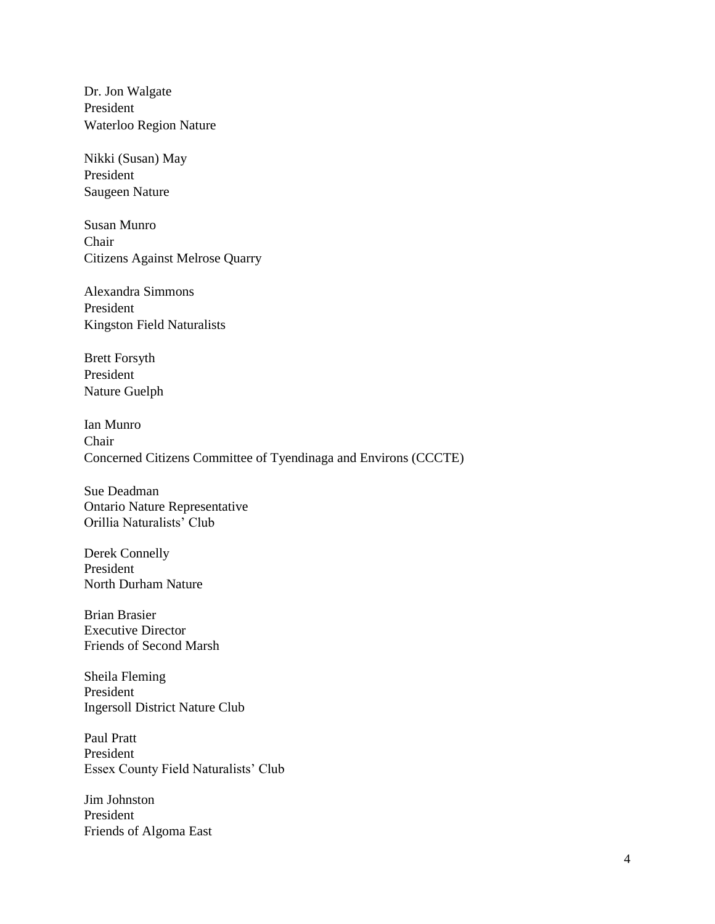Dr. Jon Walgate President Waterloo Region Nature

Nikki (Susan) May President Saugeen Nature

Susan Munro Chair Citizens Against Melrose Quarry

Alexandra Simmons President Kingston Field Naturalists

Brett Forsyth President Nature Guelph

Ian Munro Chair Concerned Citizens Committee of Tyendinaga and Environs (CCCTE)

Sue Deadman Ontario Nature Representative Orillia Naturalists' Club

Derek Connelly President North Durham Nature

Brian Brasier Executive Director Friends of Second Marsh

Sheila Fleming President Ingersoll District Nature Club

Paul Pratt President Essex County Field Naturalists' Club

Jim Johnston President Friends of Algoma East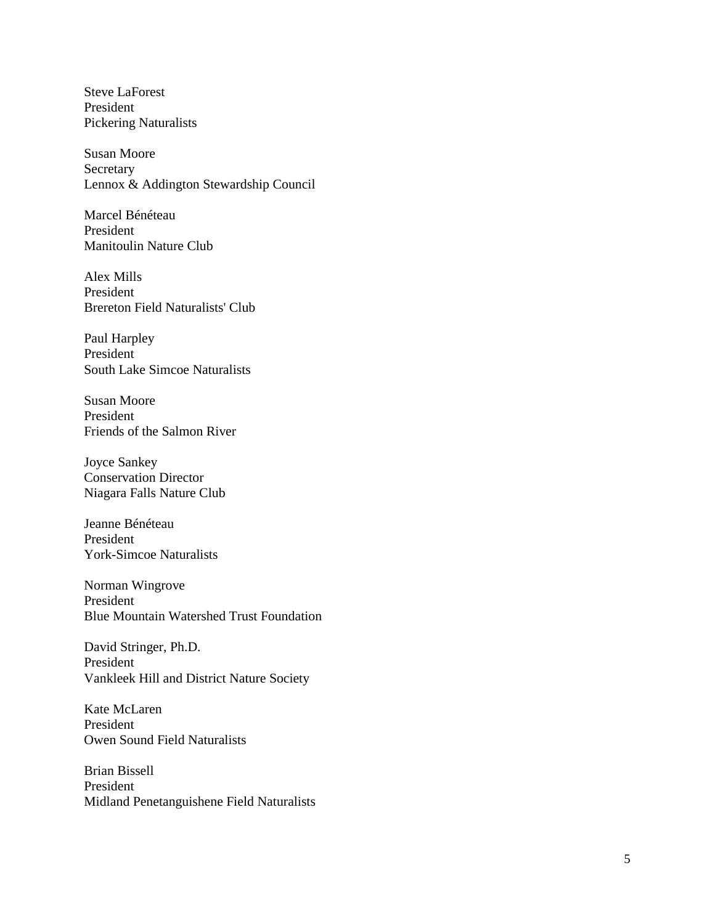Steve LaForest President Pickering Naturalists

Susan Moore **Secretary** Lennox & Addington Stewardship Council

Marcel Bénéteau President Manitoulin Nature Club

Alex Mills President Brereton Field Naturalists' Club

Paul Harpley President South Lake Simcoe Naturalists

Susan Moore President Friends of the Salmon River

Joyce Sankey Conservation Director Niagara Falls Nature Club

Jeanne Bénéteau President York -Simcoe Naturalists

Norman Wingrove President Blue Mountain Watershed Trust Foundation

David Stringer, Ph.D. President Vankleek Hill and District Nature Society

Kate McLaren President Owen Sound Field Naturalists

Brian Bissell President Midland Penetanguishene Field Naturalists